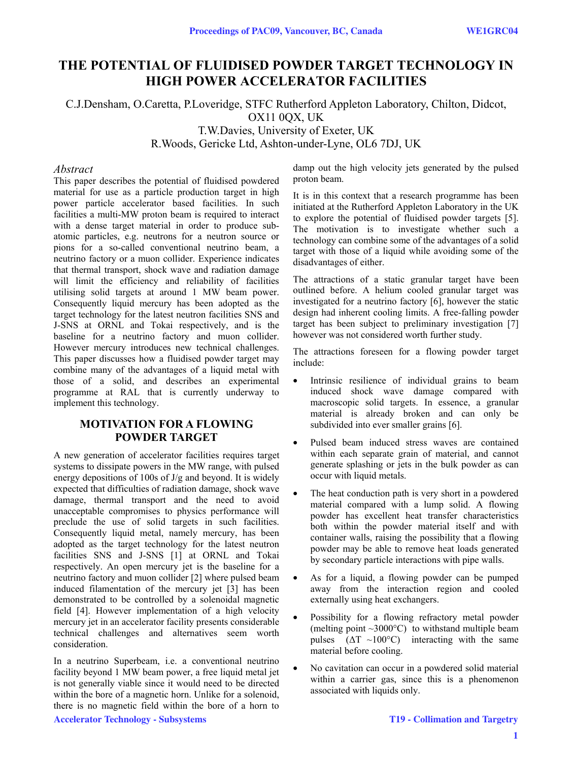# **THE POTENTIAL OF FLUIDISED POWDER TARGET TECHNOLOGY IN HIGH POWER ACCELERATOR FACILITIES**

# C.J.Densham, O.Caretta, P.Loveridge, STFC Rutherford Appleton Laboratory, Chilton, Didcot, OX11 0QX, UK T.W.Davies, University of Exeter, UK R.Woods, Gericke Ltd, Ashton-under-Lyne, OL6 7DJ, UK

#### *Abstract*

This paper describes the potential of fluidised powdered material for use as a particle production target in high power particle accelerator based facilities. In such facilities a multi-MW proton beam is required to interact with a dense target material in order to produce subatomic particles, e.g. neutrons for a neutron source or pions for a so-called conventional neutrino beam, a neutrino factory or a muon collider. Experience indicates that thermal transport, shock wave and radiation damage will limit the efficiency and reliability of facilities utilising solid targets at around 1 MW beam power. Consequently liquid mercury has been adopted as the target technology for the latest neutron facilities SNS and J-SNS at ORNL and Tokai respectively, and is the baseline for a neutrino factory and muon collider. However mercury introduces new technical challenges. This paper discusses how a fluidised powder target may combine many of the advantages of a liquid metal with those of a solid, and describes an experimental programme at RAL that is currently underway to implement this technology.

# **MOTIVATION FOR A FLOWING POWDER TARGET**

A new generation of accelerator facilities requires target systems to dissipate powers in the MW range, with pulsed energy depositions of 100s of J/g and beyond. It is widely expected that difficulties of radiation damage, shock wave damage, thermal transport and the need to avoid unacceptable compromises to physics performance will preclude the use of solid targets in such facilities. Consequently liquid metal, namely mercury, has been adopted as the target technology for the latest neutron facilities SNS and J-SNS [1] at ORNL and Tokai respectively. An open mercury jet is the baseline for a neutrino factory and muon collider [2] where pulsed beam induced filamentation of the mercury jet [3] has been demonstrated to be controlled by a solenoidal magnetic field [4]. However implementation of a high velocity mercury jet in an accelerator facility presents considerable technical challenges and alternatives seem worth consideration.

In a neutrino Superbeam, i.e. a conventional neutrino facility beyond 1 MW beam power, a free liquid metal jet is not generally viable since it would need to be directed within the bore of a magnetic horn. Unlike for a solenoid, there is no magnetic field within the bore of a horn to

damp out the high velocity jets generated by the pulsed proton beam.

It is in this context that a research programme has been initiated at the Rutherford Appleton Laboratory in the UK to explore the potential of fluidised powder targets [5]. The motivation is to investigate whether such a technology can combine some of the advantages of a solid target with those of a liquid while avoiding some of the disadvantages of either.

The attractions of a static granular target have been outlined before. A helium cooled granular target was investigated for a neutrino factory [6], however the static design had inherent cooling limits. A free-falling powder target has been subject to preliminary investigation [7] however was not considered worth further study.

The attractions foreseen for a flowing powder target include:

- Intrinsic resilience of individual grains to beam induced shock wave damage compared with macroscopic solid targets. In essence, a granular material is already broken and can only be subdivided into ever smaller grains [6].
- Pulsed beam induced stress waves are contained within each separate grain of material, and cannot generate splashing or jets in the bulk powder as can occur with liquid metals.
- The heat conduction path is very short in a powdered material compared with a lump solid. A flowing powder has excellent heat transfer characteristics both within the powder material itself and with container walls, raising the possibility that a flowing powder may be able to remove heat loads generated by secondary particle interactions with pipe walls.
- As for a liquid, a flowing powder can be pumped away from the interaction region and cooled externally using heat exchangers.
- Possibility for a flowing refractory metal powder (melting point  $\sim 3000^{\circ}$ C) to withstand multiple beam pulses  $(\Delta T \sim 100^{\circ}C)$  interacting with the same material before cooling.
- No cavitation can occur in a powdered solid material within a carrier gas, since this is a phenomenon associated with liquids only.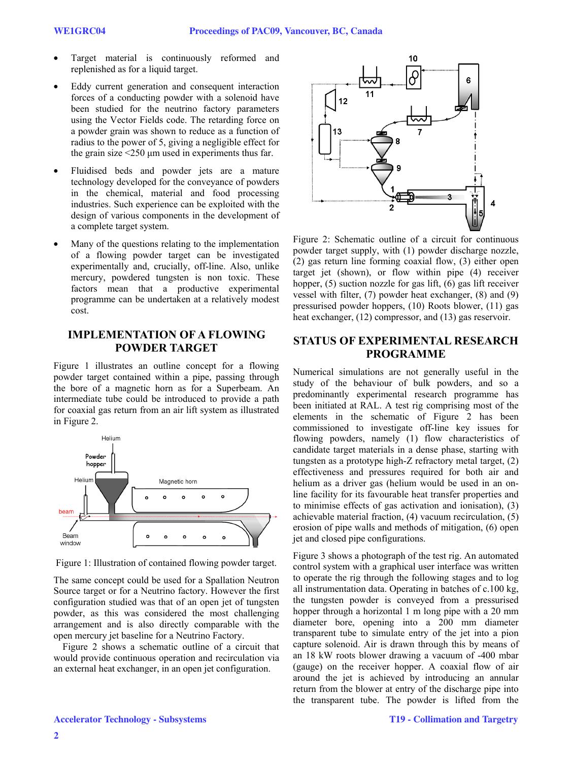- Target material is continuously reformed and replenished as for a liquid target.
- Eddy current generation and consequent interaction forces of a conducting powder with a solenoid have been studied for the neutrino factory parameters using the Vector Fields code. The retarding force on a powder grain was shown to reduce as a function of radius to the power of 5, giving a negligible effect for the grain size  $\leq 250$  µm used in experiments thus far.
- Fluidised beds and powder jets are a mature technology developed for the conveyance of powders in the chemical, material and food processing industries. Such experience can be exploited with the design of various components in the development of a complete target system.
- Many of the questions relating to the implementation of a flowing powder target can be investigated experimentally and, crucially, off-line. Also, unlike mercury, powdered tungsten is non toxic. These factors mean that a productive experimental programme can be undertaken at a relatively modest cost.

#### **IMPLEMENTATION OF A FLOWING POWDER TARGET**

Figure 1 illustrates an outline concept for a flowing powder target contained within a pipe, passing through the bore of a magnetic horn as for a Superbeam. An intermediate tube could be introduced to provide a path for coaxial gas return from an air lift system as illustrated in Figure 2.



Figure 1: Illustration of contained flowing powder target.

The same concept could be used for a Spallation Neutron Source target or for a Neutrino factory. However the first configuration studied was that of an open jet of tungsten powder, as this was considered the most challenging arrangement and is also directly comparable with the open mercury jet baseline for a Neutrino Factory.

Figure 2 shows a schematic outline of a circuit that would provide continuous operation and recirculation via an external heat exchanger, in an open jet configuration.



Figure 2: Schematic outline of a circuit for continuous powder target supply, with (1) powder discharge nozzle, (2) gas return line forming coaxial flow, (3) either open target jet (shown), or flow within pipe (4) receiver hopper,  $(5)$  suction nozzle for gas lift,  $(6)$  gas lift receiver vessel with filter, (7) powder heat exchanger, (8) and (9) pressurised powder hoppers, (10) Roots blower, (11) gas heat exchanger, (12) compressor, and (13) gas reservoir.

### **STATUS OF EXPERIMENTAL RESEARCH PROGRAMME**

Numerical simulations are not generally useful in the study of the behaviour of bulk powders, and so a predominantly experimental research programme has been initiated at RAL. A test rig comprising most of the elements in the schematic of Figure 2 has been commissioned to investigate off-line key issues for flowing powders, namely (1) flow characteristics of candidate target materials in a dense phase, starting with tungsten as a prototype high-Z refractory metal target, (2) effectiveness and pressures required for both air and helium as a driver gas (helium would be used in an online facility for its favourable heat transfer properties and to minimise effects of gas activation and ionisation), (3) achievable material fraction, (4) vacuum recirculation, (5) erosion of pipe walls and methods of mitigation, (6) open jet and closed pipe configurations.

Figure 3 shows a photograph of the test rig. An automated control system with a graphical user interface was written to operate the rig through the following stages and to log all instrumentation data. Operating in batches of c.100 kg, the tungsten powder is conveyed from a pressurised hopper through a horizontal 1 m long pipe with a 20 mm diameter bore, opening into a 200 mm diameter transparent tube to simulate entry of the jet into a pion capture solenoid. Air is drawn through this by means of an 18 kW roots blower drawing a vacuum of -400 mbar (gauge) on the receiver hopper. A coaxial flow of air around the jet is achieved by introducing an annular return from the blower at entry of the discharge pipe into the transparent tube. The powder is lifted from the